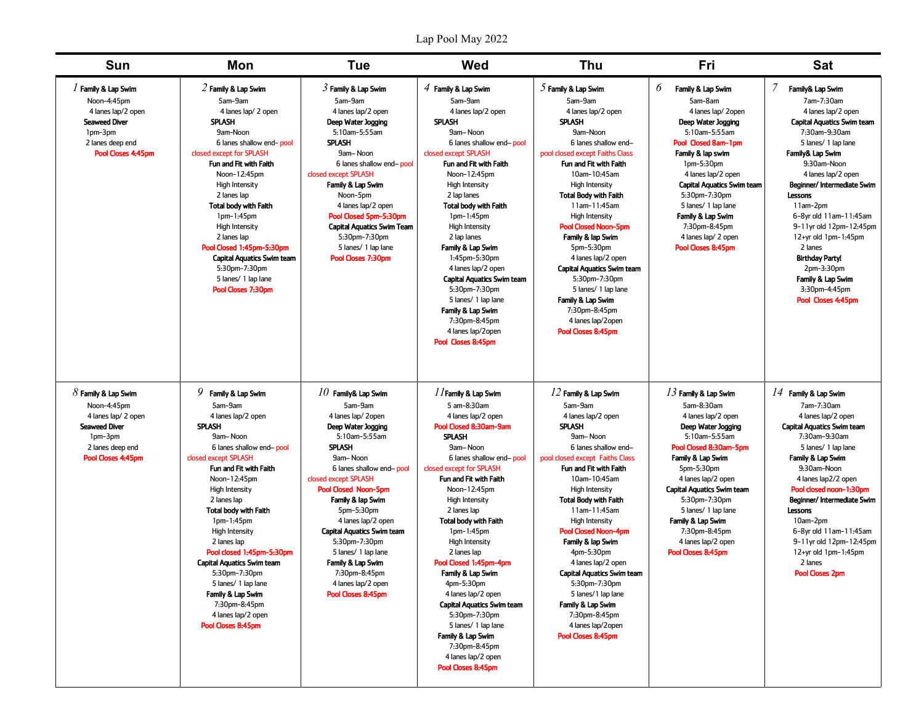## Lap Pool May 2022

| <b>Sun</b>                                                                                                                                 | Mon                                                                                                                                                                                                                                                                                                                                                                                                                                                                                                    | <b>Tue</b>                                                                                                                                                                                                                                                                                                                                                                                                                           | Wed                                                                                                                                                                                                                                                                                                                                                                                                                                                                                                                                                                                          | <b>Thu</b>                                                                                                                                                                                                                                                                                                                                                                                                                                                                                                                                | Fri                                                                                                                                                                                                                                                                                                                                                 | <b>Sat</b>                                                                                                                                                                                                                                                                                                                                                                                                                                    |
|--------------------------------------------------------------------------------------------------------------------------------------------|--------------------------------------------------------------------------------------------------------------------------------------------------------------------------------------------------------------------------------------------------------------------------------------------------------------------------------------------------------------------------------------------------------------------------------------------------------------------------------------------------------|--------------------------------------------------------------------------------------------------------------------------------------------------------------------------------------------------------------------------------------------------------------------------------------------------------------------------------------------------------------------------------------------------------------------------------------|----------------------------------------------------------------------------------------------------------------------------------------------------------------------------------------------------------------------------------------------------------------------------------------------------------------------------------------------------------------------------------------------------------------------------------------------------------------------------------------------------------------------------------------------------------------------------------------------|-------------------------------------------------------------------------------------------------------------------------------------------------------------------------------------------------------------------------------------------------------------------------------------------------------------------------------------------------------------------------------------------------------------------------------------------------------------------------------------------------------------------------------------------|-----------------------------------------------------------------------------------------------------------------------------------------------------------------------------------------------------------------------------------------------------------------------------------------------------------------------------------------------------|-----------------------------------------------------------------------------------------------------------------------------------------------------------------------------------------------------------------------------------------------------------------------------------------------------------------------------------------------------------------------------------------------------------------------------------------------|
| / Family & Lap Swim<br>Noon-4:45pm<br>4 lanes lap/2 open<br><b>Seaweed Diver</b><br>1pm-3pm<br>2 lanes deep end<br>Pool Closes 4:45pm      | $2$ Family & Lap Swim<br>5am-9am<br>4 lanes lap/ 2 open<br>SPLASH<br>9am-Noon<br>6 lanes shallow end-pool<br>closed except for SPLASH<br>Fun and Fit with Faith<br>Noon-12:45pm<br><b>High Intensity</b><br>2 lanes lap<br><b>Total body with Faith</b><br>$1pm-1:45pm$<br><b>High Intensity</b><br>2 lanes lap<br>Pool Closed 1:45pm-5:30pm<br><b>Capital Aquatics Swim team</b><br>5:30pm-7:30pm<br>5 lanes/ 1 lap lane<br>Pool Closes 7:30pm                                                        | $3$ Family & Lap Swim<br>5am-9am<br>4 lanes lap/2 open<br>Deep Water Jogging<br>5:10am-5:55am<br><b>SPLASH</b><br>9am-Noon<br>6 lanes shallow end-pool<br>closed except SPLASH<br>Family & Lap Swim<br>Noon-5pm<br>4 lanes lap/2 open<br>Pool Closed 5pm-5:30pm<br><b>Capital Aquatics Swim Team</b><br>5:30pm-7:30pm<br>5 lanes/ 1 lap lane<br>Pool Closes 7:30pm                                                                   | $4$ Family & Lap Swim<br>5am-9am<br>4 lanes lap/2 open<br>SPLASH<br>9am-Noon<br>6 lanes shallow end-pool<br>closed except SPLASH<br>Fun and Fit with Faith<br>Noon-12:45pm<br>High Intensity<br>2 lap lanes<br><b>Total body with Faith</b><br>$1pm-1:45pm$<br><b>High Intensity</b><br>2 lap lanes<br>Family & Lap Swim<br>1:45pm-5:30pm<br>4 lanes lap/2 open<br><b>Capital Aquatics Swim team</b><br>5:30pm-7:30pm<br>5 lanes/ 1 lap lane<br>Family & Lap Swim<br>7:30pm-8:45pm<br>4 lanes lap/2open<br>Pool Closes 8:45pm                                                                | $5$ Family & Lap Swim<br>5am-9am<br>4 lanes lap/2 open<br>Splash<br>9am-Noon<br>6 lanes shallow end-<br>pool closed except Faiths Class<br>Fun and Fit with Faith<br>10am-10:45am<br><b>High Intensity</b><br><b>Total Body with Faith</b><br>11am-11:45am<br><b>High Intensity</b><br><b>Pool Closed Noon-5pm</b><br>Family & lap Swim<br>5pm-5:30pm<br>4 lanes lap/2 open<br><b>Capital Aquatics Swim team</b><br>5:30pm-7:30pm<br>5 lanes/ 1 lap lane<br>Family & Lap Swim<br>7:30pm-8:45pm<br>4 lanes lap/2open<br>Pool Closes 8:45pm | 6<br>Family & Lap Swim<br>5am-8am<br>4 lanes lap/2open<br>Deep Water Jogging<br>5:10am-5:55am<br>Pool Closed 8am-1pm<br>Family & lap swim<br>$1pm-5:30pm$<br>4 lanes lap/2 open<br><b>Capital Aquatics Swim team</b><br>5:30pm-7:30pm<br>5 lanes/ 1 lap lane<br>Family & Lap Swim<br>7:30pm-8:45pm<br>4 lanes lap/ 2 open<br>Pool Closes 8:45pm     | Family& Lap Swim<br>7am-7:30am<br>4 lanes lap/2 open<br><b>Capital Aquatics Swim team</b><br>7:30am-9:30am<br>5 lanes/ 1 lap lane<br>Family& Lap Swim<br>9:30am-Noon<br>4 lanes lap/2 open<br>Beginner/Intermediate Swim<br>Lessons<br>11am-2pm<br>6-8yr old 11am-11:45am<br>9-11yr old 12pm-12:45pm<br>12+yr old 1pm-1:45pm<br>2 lanes<br><b>Birthday Party!</b><br>$2pm-3:30pm$<br>Family & Lap Swim<br>3:30pm-4:45pm<br>Pool Closes 4:45pm |
| $8$ Family & Lap Swim<br>Noon-4:45pm<br>4 lanes lap/ 2 open<br><b>Seaweed Diver</b><br>$1pm-3pm$<br>2 lanes deep end<br>Pool Closes 4:45pm | $9$ Family & Lap Swim<br>5am-9am<br>4 lanes lap/2 open<br><b>SPLASH</b><br>9am-Noon<br>6 lanes shallow end-pool<br>closed except SPLASH<br>Fun and Fit with Faith<br>Noon-12:45pm<br>High Intensity<br>2 lanes lap<br><b>Total body with Faith</b><br>$1pm-1:45pm$<br><b>High Intensity</b><br>2 lanes lap<br>Pool closed 1:45pm-5:30pm<br><b>Capital Aquatics Swim team</b><br>5:30pm-7:30pm<br>5 lanes/ 1 lap lane<br>Family & Lap Swim<br>7:30pm-8:45pm<br>4 lanes lap/2 open<br>Pool Closes 8:45pm | $10$ Family& Lap Swim<br>5am-9am<br>4 lanes lap/2open<br>Deep Water Jogging<br>5:10am-5:55am<br><b>SPLASH</b><br>9am-Noon<br>6 lanes shallow end-pool<br>closed except SPLASH<br><b>Pool Closed Noon-5pm</b><br>Family & lap Swim<br>5pm-5:30pm<br>4 lanes lap/2 open<br><b>Capital Aquatics Swim team</b><br>5:30pm-7:30pm<br>5 lanes/ 1 lap lane<br>Family & Lap Swim<br>7:30pm-8:45pm<br>4 lanes lap/2 open<br>Pool Closes 8:45pm | //Family & Lap Swim<br>5 am-8:30am<br>4 lanes lap/2 open<br>Pool Closed 8:30am-9am<br><b>SPLASH</b><br>9am-Noon<br>6 lanes shallow end-pool<br>closed except for SPLASH<br>Fun and Fit with Faith<br>Noon-12:45pm<br>High Intensity<br>2 lanes lap<br><b>Total body with Faith</b><br>$1pm-1:45pm$<br><b>High Intensity</b><br>2 lanes lap<br>Pool Closed 1:45pm-4pm<br>Family & Lap Swim<br>4pm-5:30pm<br>4 lanes lap/2 open<br><b>Capital Aquatics Swim team</b><br>5:30pm-7:30pm<br>5 lanes/ 1 lap lane<br>Family & Lap Swim<br>7:30pm-8:45pm<br>4 lanes lap/2 open<br>Pool Closes 8:45pm | $12$ Family & Lap Swim<br>5am-9am<br>4 lanes lap/2 open<br><b>SPLASH</b><br>9am-Noon<br>6 lanes shallow end-<br>pool closed except Faiths Class<br>Fun and Fit with Faith<br>10am-10:45am<br>High Intensity<br><b>Total Body with Faith</b><br>11am-11:45am<br>High Intensity<br><b>Pool Closed Noon-4pm</b><br>Family & lap Swim<br>4pm-5:30pm<br>4 lanes lap/2 open<br><b>Capital Aquatics Swim team</b><br>5:30pm-7:30pm<br>5 lanes/1 lap lane<br>Family & Lap Swim<br>7:30pm-8:45pm<br>4 lanes lap/2open<br>Pool Closes 8:45pm        | $13$ Family & Lap Swim<br>5am-8:30am<br>4 lanes lap/2 open<br>Deep Water Jogging<br>5:10am-5:55am<br>Pool Closed 8:30am-5pm<br>Family & Lap Swim<br>5pm-5:30pm<br>4 lanes lap/2 open<br><b>Capital Aquatics Swim team</b><br>5:30pm-7:30pm<br>5 lanes/ 1 lap lane<br>Family & Lap Swim<br>7:30pm-8:45pm<br>4 lanes lap/2 open<br>Pool Closes 8:45pm | $14$ Family & Lap Swim<br>7am-7:30am<br>4 lanes lap/2 open<br><b>Capital Aquatics Swim team</b><br>7:30am-9:30am<br>5 lanes/ 1 lap lane<br>Family & Lap Swim<br>9:30am-Noon<br>4 lanes lap2/2 open<br>Pool closed noon-1:30pm<br>Beginner/Intermediate Swim<br>Lessons<br>10am-2pm<br>6-8yr old 11am-11:45am<br>9-11yr old 12pm-12:45pm<br>$12+yr$ old $1pm-1:45pm$<br>2 lanes<br><b>Pool Closes 2pm</b>                                      |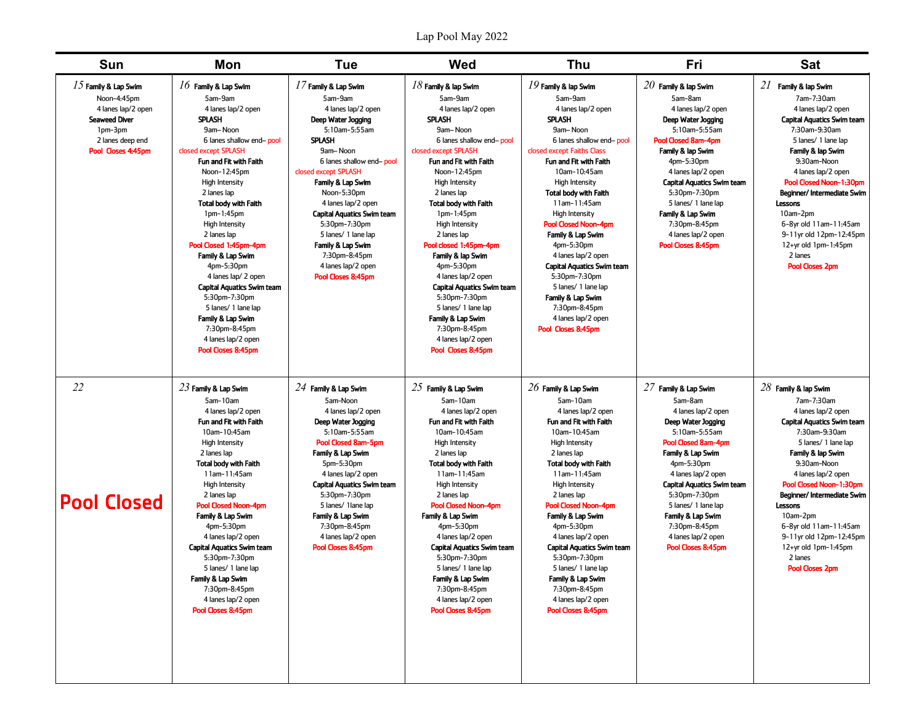| Sun                                                                                                                                      | Mon                                                                                                                                                                                                                                                                                                                                                                                                                                                                                                                                                                   | <b>Tue</b>                                                                                                                                                                                                                                                                                                                                                                                               | Wed                                                                                                                                                                                                                                                                                                                                                                                                                                                                                                                                                                | Thu                                                                                                                                                                                                                                                                                                                                                                                                                                                                                                                                               | Fri                                                                                                                                                                                                                                                                                                                                                  | <b>Sat</b>                                                                                                                                                                                                                                                                                                                                                                                          |
|------------------------------------------------------------------------------------------------------------------------------------------|-----------------------------------------------------------------------------------------------------------------------------------------------------------------------------------------------------------------------------------------------------------------------------------------------------------------------------------------------------------------------------------------------------------------------------------------------------------------------------------------------------------------------------------------------------------------------|----------------------------------------------------------------------------------------------------------------------------------------------------------------------------------------------------------------------------------------------------------------------------------------------------------------------------------------------------------------------------------------------------------|--------------------------------------------------------------------------------------------------------------------------------------------------------------------------------------------------------------------------------------------------------------------------------------------------------------------------------------------------------------------------------------------------------------------------------------------------------------------------------------------------------------------------------------------------------------------|---------------------------------------------------------------------------------------------------------------------------------------------------------------------------------------------------------------------------------------------------------------------------------------------------------------------------------------------------------------------------------------------------------------------------------------------------------------------------------------------------------------------------------------------------|------------------------------------------------------------------------------------------------------------------------------------------------------------------------------------------------------------------------------------------------------------------------------------------------------------------------------------------------------|-----------------------------------------------------------------------------------------------------------------------------------------------------------------------------------------------------------------------------------------------------------------------------------------------------------------------------------------------------------------------------------------------------|
| $15$ Family & Lap Swim<br>Noon-4:45pm<br>4 lanes lap/2 open<br><b>Seaweed Diver</b><br>1pm-3pm<br>2 lanes deep end<br>Pool Closes 4:45pm | $16$ Family & Lap Swim<br>5am-9am<br>4 lanes lap/2 open<br><b>SPLASH</b><br>9am-Noon<br>6 lanes shallow end-pool<br>closed except SPLASH<br>Fun and Fit with Faith<br>Noon-12:45pm<br><b>High Intensity</b><br>2 lanes lap<br><b>Total body with Faith</b><br>$1pm-1:45pm$<br><b>High Intensity</b><br>2 lanes lap<br>Pool Closed 1:45pm-4pm<br>Family & Lap Swim<br>4pm-5:30pm<br>4 lanes lap/ 2 open<br><b>Capital Aquatics Swim team</b><br>5:30pm-7:30pm<br>5 lanes/ 1 lane lap<br>Family & Lap Swim<br>7:30pm-8:45pm<br>4 lanes lap/2 open<br>Pool Closes 8:45pm | $17$ Family & Lap Swim<br>5am-9am<br>4 lanes lap/2 open<br>Deep Water Jogging<br>5:10am-5:55am<br><b>SPLASH</b><br>9am-Noon<br>6 lanes shallow end-pool<br>closed except SPLASH<br>Family & Lap Swim<br>Noon-5:30pm<br>4 lanes lap/2 open<br><b>Capital Aquatics Swim team</b><br>5:30pm-7:30pm<br>5 lanes/ 1 lane lap<br>Family & Lap Swim<br>7:30pm-8:45pm<br>4 lanes lap/2 open<br>Pool Closes 8:45pm | $18$ Family & lap Swim<br>5am-9am<br>4 lanes lap/2 open<br><b>SPLASH</b><br>9am-Noon<br>6 lanes shallow end-pool<br>closed except SPLASH<br>Fun and Fit with Faith<br>Noon-12:45pm<br><b>High Intensity</b><br>2 lanes lap<br><b>Total body with Faith</b><br>1pm-1:45pm<br><b>High Intensity</b><br>2 lanes lap<br>Pool closed 1:45pm-4pm<br>Family & lap Swim<br>4pm-5:30pm<br>4 lanes lap/2 open<br><b>Capital Aquatics Swim team</b><br>5:30pm-7:30pm<br>5 lanes/ 1 lane lap<br>Family & Lap Swim<br>7:30pm-8:45pm<br>4 lanes lap/2 open<br>Pool Closes 8:45pm | $19$ Family & lap Swim<br>5am-9am<br>4 lanes lap/2 open<br><b>SPLASH</b><br>9am-Noon<br>6 lanes shallow end-pool<br>closed except Faiths Class<br>Fun and Fit with Faith<br>10am-10:45am<br><b>High Intensity</b><br><b>Total body with Faith</b><br>11am-11:45am<br><b>High Intensity</b><br><b>Pool Closed Noon-4pm</b><br>Family & Lap Swim<br>4pm-5:30pm<br>4 lanes lap/2 open<br><b>Capital Aquatics Swim team</b><br>5:30pm-7:30pm<br>5 lanes/ 1 lane lap<br>Family & Lap Swim<br>7:30pm-8:45pm<br>4 lanes lap/2 open<br>Pool Closes 8:45pm | $20$ Family & lap Swim<br>5am-8am<br>4 lanes lap/2 open<br>Deep Water Jooging<br>5:10am-5:55am<br>Pool Closed 8am-4pm<br>Family & lap Swim<br>$4pm-5:30pm$<br>4 lanes lap/2 open<br><b>Capital Aquatics Swim team</b><br>5:30pm-7:30pm<br>5 lanes/ 1 lane lap<br>Family & Lap Swim<br>7:30pm-8:45pm<br>4 lanes lap/2 open<br>Pool Closes 8:45pm      | $21$ Family & lap Swim<br>7am-7:30am<br>4 lanes lap/2 open<br><b>Capital Aquatics Swim team</b><br>7:30am-9:30am<br>5 lanes/ 1 lane lap<br>Family & lap Swim<br>9:30am-Noon<br>4 lanes lap/2 open<br>Pool Closed Noon-1:30pm<br>Beginner/Intermediate Swim<br>Lessons<br>10am-2pm<br>6-8yr old 11am-11:45am<br>9-11yr old 12pm-12:45pm<br>12+yr old 1pm-1:45pm<br>2 lanes<br><b>Pool Closes 2pm</b> |
| 22<br><b>Pool Closed</b>                                                                                                                 | $23$ Family & Lap Swim<br>5am-10am<br>4 lanes lap/2 open<br>Fun and Fit with Faith<br>10am-10:45am<br>High Intensity<br>2 lanes lap<br><b>Total body with Faith</b><br>11am-11:45am<br><b>High Intensity</b><br>2 lanes lap<br><b>Pool Closed Noon-4pm</b><br>Family & Lap Swim<br>4pm-5:30pm<br>4 lanes lap/2 open<br><b>Capital Aquatics Swim team</b><br>5:30pm-7:30pm<br>5 lanes/ 1 lane lap<br>Family & Lap Swim<br>7:30pm-8:45pm<br>4 lanes lap/2 open<br>Pool Closes 8:45pm                                                                                    | $24$ Family & Lap Swim<br>5am-Noon<br>4 lanes lap/2 open<br>Deep Water Jogging<br>5:10am-5:55am<br>Pool Closed 8am-5pm<br>Family & Lap Swim<br>5pm-5:30pm<br>4 lanes lap/2 open<br><b>Capital Aquatics Swim team</b><br>5:30pm-7:30pm<br>5 lanes/ 1 lane lap<br>Family & Lap Swim<br>7:30pm-8:45pm<br>4 lanes lap/2 open<br>Pool Closes 8:45pm                                                           | $25$ Family & Lap Swim<br>5am-10am<br>4 lanes lap/2 open<br>Fun and Fit with Faith<br>10am-10:45am<br><b>High Intensity</b><br>2 lanes lap<br><b>Total body with Faith</b><br>11am-11:45am<br>High Intensity<br>2 lanes lap<br><b>Pool Closed Noon-4pm</b><br>Family & Lap Swim<br>4pm-5:30pm<br>4 lanes lap/2 open<br><b>Capital Aquatics Swim team</b><br>5:30pm-7:30pm<br>5 lanes/ 1 lane lap<br>Family & Lap Swim<br>7:30pm-8:45pm<br>4 lanes lap/2 open<br>Pool Closes 8:45pm                                                                                 | $26$ Family & Lap Swim<br>5am-10am<br>4 lanes lap/2 open<br>Fun and Fit with Faith<br>10am-10:45am<br>High Intensity<br>2 lanes lap<br><b>Total body with Faith</b><br>11am-11:45am<br>High Intensity<br>2 lanes lap<br><b>Pool Closed Noon-4pm</b><br>Family & Lap Swim<br>4pm-5:30pm<br>4 lanes lap/2 open<br><b>Capital Aquatics Swim team</b><br>5:30pm-7:30pm<br>5 lanes/ 1 lane lap<br>Family & Lap Swim<br>7:30pm-8:45pm<br>4 lanes lap/2 open<br>Pool Closes 8:45pm                                                                       | $27$ Family & Lap Swim<br>5am-8am<br>4 lanes lap/2 open<br>Deep Water Jogging<br>5:10am-5:55am<br><b>Pool Closed 8am-4pm</b><br>Family & Lap Swim<br>4pm-5:30pm<br>4 lanes lap/2 open<br><b>Capital Aquatics Swim team</b><br>5:30pm-7:30pm<br>5 lanes/ 1 lane lap<br>Family & Lap Swim<br>7:30pm-8:45pm<br>4 lanes lap/2 open<br>Pool Closes 8:45pm | $28$ Family & lap Swim<br>7am-7:30am<br>4 lanes lap/2 open<br><b>Capital Aquatics Swim team</b><br>7:30am-9:30am<br>5 lanes/ 1 lane lap<br>Family & lap Swim<br>9:30am-Noon<br>4 lanes lap/2 open<br>Pool Closed Noon-1:30pm<br>Beginner/Intermediate Swim<br>Lessons<br>10am-2pm<br>6-8yr old 11am-11:45am<br>9-11yr old 12pm-12:45pm<br>12+yr old 1pm-1:45pm<br>2 lanes<br><b>Pool Closes 2pm</b> |